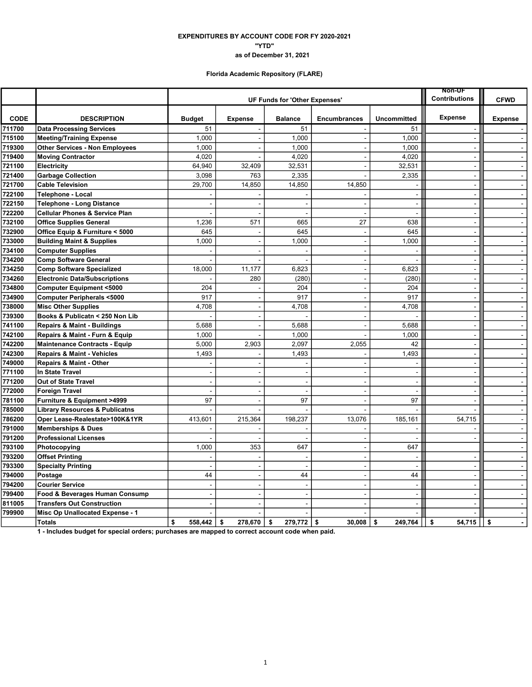### EXPENDITURES BY ACCOUNT CODE FOR FY 2020-2021 "YTD" as of December 31, 2021

# Florida Academic Repository (FLARE)

|             |                                           |                | <b>Non-UF</b>                 |                      |                          |                          |                          |                      |
|-------------|-------------------------------------------|----------------|-------------------------------|----------------------|--------------------------|--------------------------|--------------------------|----------------------|
|             |                                           |                | UF Funds for 'Other Expenses' | <b>Contributions</b> | <b>CFWD</b>              |                          |                          |                      |
| <b>CODE</b> | <b>DESCRIPTION</b>                        | <b>Budget</b>  | <b>Expense</b>                | <b>Balance</b>       | <b>Encumbrances</b>      | <b>Uncommitted</b>       | <b>Expense</b>           | <b>Expense</b>       |
| 711700      | <b>Data Processing Services</b>           | 51             |                               | 51                   |                          | 51                       |                          |                      |
| 715100      | <b>Meeting/Training Expense</b>           | 1,000          |                               | 1,000                | $\sim$                   | 1,000                    | ÷.                       | $\omega$             |
| 719300      | <b>Other Services - Non Employees</b>     | 1,000          | $\overline{\phantom{a}}$      | 1,000                |                          | 1,000                    | $\blacksquare$           | $\sim$               |
| 719400      | <b>Moving Contractor</b>                  | 4,020          |                               | 4,020                |                          | 4,020                    | $\overline{a}$           | $\sim$               |
| 721100      | Electricity                               | 64.940         | 32,409                        | 32,531               |                          | 32,531                   |                          | $\sim$               |
| 721400      | <b>Garbage Collection</b>                 | 3,098          | 763                           | 2,335                | $\overline{a}$           | 2,335                    | $\sim$                   | $\sim$               |
| 721700      | <b>Cable Television</b>                   | 29,700         | 14,850                        | 14,850               | 14,850                   |                          | $\overline{a}$           | $\blacksquare$       |
| 722100      | Telephone - Local                         |                |                               |                      |                          | $\blacksquare$           | $\sim$                   | $\sim$               |
| 722150      | <b>Telephone - Long Distance</b>          |                |                               |                      |                          | $\overline{\phantom{a}}$ | $\blacksquare$           | $\sim$               |
| 722200      | <b>Cellular Phones &amp; Service Plan</b> |                | L.                            | $\sim$               | $\overline{a}$           | $\overline{\phantom{a}}$ | $\sim$                   | $\sim$               |
| 732100      | <b>Office Supplies General</b>            | 1,236          | 571                           | 665                  | 27                       | 638                      | $\sim$                   | $\blacksquare$       |
| 732900      | Office Equip & Furniture < 5000           | 645            |                               | 645                  | $\overline{\phantom{a}}$ | 645                      | $\sim$                   | $\sim$               |
| 733000      | <b>Building Maint &amp; Supplies</b>      | 1,000          | $\overline{a}$                | 1,000                | $\blacksquare$           | 1,000                    | $\ddot{\phantom{a}}$     | $\blacksquare$       |
| 734100      | <b>Computer Supplies</b>                  |                |                               |                      |                          |                          | $\sim$                   | $\sim$               |
| 734200      | <b>Comp Software General</b>              |                |                               |                      | $\sim$                   | $\sim$                   | $\sim$                   | $\sim$               |
| 734250      | <b>Comp Software Specialized</b>          | 18,000         | 11,177                        | 6,823                | $\sim$                   | 6,823                    | $\blacksquare$           | $\sim$               |
| 734260      | <b>Electronic Data/Subscriptions</b>      |                | 280                           | (280)                |                          | (280)                    | $\sim$                   | $\sim$               |
| 734800      | <b>Computer Equipment &lt;5000</b>        | 204            |                               | 204                  | $\blacksquare$           | 204                      | $\overline{\phantom{a}}$ | $\sim$               |
| 734900      | Computer Peripherals <5000                | 917            | J.                            | 917                  | $\overline{\phantom{a}}$ | 917                      | $\overline{a}$           | $\sim$               |
| 738000      | <b>Misc Other Supplies</b>                | 4,708          | $\blacksquare$                | 4,708                | $\blacksquare$           | 4,708                    | $\blacksquare$           | $\sim$               |
| 739300      | Books & Publicatn < 250 Non Lib           |                | ÷                             |                      | $\sim$                   |                          | $\overline{a}$           | $\sim$               |
| 741100      | <b>Repairs &amp; Maint - Buildings</b>    | 5,688          | ÷,                            | 5,688                | $\blacksquare$           | 5,688                    |                          | $\sim$               |
| 742100      | Repairs & Maint - Furn & Equip            | 1,000          |                               | 1,000                |                          | 1,000                    | $\sim$                   | $\sim$               |
| 742200      | <b>Maintenance Contracts - Equip</b>      | 5,000          | 2,903                         | 2,097                | 2,055                    | 42                       | $\sim$                   | $\sim$               |
| 742300      | <b>Repairs &amp; Maint - Vehicles</b>     | 1,493          |                               | 1,493                |                          | 1,493                    | $\blacksquare$           | $\sim$               |
| 749000      | Repairs & Maint - Other                   |                |                               |                      |                          |                          |                          | $\sim$               |
| 771100      | <b>In State Travel</b>                    | $\sim$         | $\blacksquare$                | $\blacksquare$       | $\sim$                   | $\sim$                   | $\blacksquare$           | $\sim$               |
| 771200      | Out of State Travel                       |                | J.                            | $\sim$               | ÷.                       | $\overline{\phantom{a}}$ | $\sim$                   | $\sim$               |
| 772000      | Foreign Travel                            |                | $\overline{a}$                | $\overline{a}$       |                          | $\overline{\phantom{a}}$ | $\sim$                   | $\mathbf{r}$         |
| 781100      | Furniture & Equipment >4999               | 97             | $\overline{\phantom{a}}$      | 97                   | $\sim$                   | 97                       | $\blacksquare$           | $\sim$               |
| 785000      | <b>Library Resources &amp; Publicatns</b> |                |                               |                      |                          |                          |                          | $\blacksquare$       |
| 786200      | Oper Lease-Realestate>100K&1YR            | 413,601        | 215,364                       | 198,237              | 13,076                   | 185,161                  | 54,715                   | $\sim$               |
| 791000      | <b>Memberships &amp; Dues</b>             |                |                               |                      | $\sim$                   | $\overline{a}$           |                          | $\sim$               |
| 791200      | <b>Professional Licenses</b>              |                | L.                            | $\sim$               | $\sim$                   | $\overline{\phantom{a}}$ | $\blacksquare$           | $\mathbf{u}$         |
| 793100      | Photocopying                              | 1,000          | 353                           | 647                  |                          | 647                      |                          | $\sim$               |
| 793200      | <b>Offset Printing</b>                    |                |                               |                      | $\sim$                   | $\sim$                   | $\sim$                   | $\mathbf{r}$         |
| 793300      | <b>Specialty Printing</b>                 |                | J.                            |                      | $\sim$                   | $\overline{\phantom{a}}$ | $\blacksquare$           | $\sim$               |
| 794000      | Postage                                   | 44             | з.                            | 44                   | $\overline{\phantom{a}}$ | 44                       | $\overline{a}$           | $\mathbf{r}$         |
| 794200      | <b>Courier Service</b>                    | $\overline{a}$ | $\sim$                        | $\overline{a}$       | $\sim$                   | $\overline{\phantom{a}}$ | $\sim$                   | $\sim$               |
| 799400      | Food & Beverages Human Consump            |                |                               |                      |                          | $\blacksquare$           |                          | $\blacksquare$       |
| 811005      | <b>Transfers Out Construction</b>         |                |                               |                      |                          | $\overline{a}$           |                          | $\sim$               |
| 799900      | Misc Op Unallocated Expense - 1           |                |                               |                      |                          |                          |                          | $\sim$               |
|             | <b>Totals</b>                             | \$<br>558.442  | \$<br>278,670                 | 279,772<br>\$        | \$<br>30.008             | \$<br>249,764            | \$<br>54,715             | \$<br>$\blacksquare$ |

1 - Includes budget for special orders; purchases are mapped to correct account code when paid.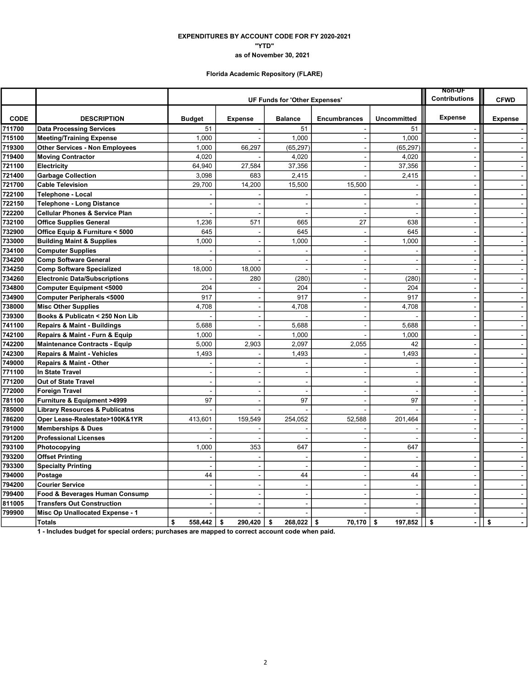### as of November 30, 2021 "YTD" EXPENDITURES BY ACCOUNT CODE FOR FY 2020-2021

# Florida Academic Repository (FLARE)

|             |                                           |                |                               | <b>Non-UF</b>            |                          |                          |                          |                                |
|-------------|-------------------------------------------|----------------|-------------------------------|--------------------------|--------------------------|--------------------------|--------------------------|--------------------------------|
|             |                                           |                | UF Funds for 'Other Expenses' | <b>Contributions</b>     | <b>CFWD</b>              |                          |                          |                                |
| <b>CODE</b> | <b>DESCRIPTION</b>                        | <b>Budget</b>  | <b>Expense</b>                | <b>Balance</b>           | <b>Encumbrances</b>      | <b>Uncommitted</b>       | <b>Expense</b>           | <b>Expense</b>                 |
| 711700      | <b>Data Processing Services</b>           | 51             |                               | 51                       |                          | 51                       |                          |                                |
| 715100      | <b>Meeting/Training Expense</b>           | 1,000          |                               | 1,000                    | $\overline{\phantom{a}}$ | 1,000                    | $\blacksquare$           | $\mathbf{L}$                   |
| 719300      | <b>Other Services - Non Employees</b>     | 1,000          | 66,297                        | (65, 297)                | $\blacksquare$           | (65, 297)                |                          | $\sim$                         |
| 719400      | <b>Moving Contractor</b>                  | 4,020          |                               | 4,020                    |                          | 4,020                    | $\sim$                   | $\blacksquare$                 |
| 721100      | Electricity                               | 64.940         | 27,584                        | 37,356                   | $\overline{a}$           | 37,356                   | $\blacksquare$           | $\omega$                       |
| 721400      | <b>Garbage Collection</b>                 | 3,098          | 683                           | 2,415                    | $\overline{a}$           | 2,415                    | $\sim$                   | $\sim$                         |
| 721700      | <b>Cable Television</b>                   | 29,700         | 14,200                        | 15,500                   | 15,500                   |                          |                          |                                |
| 722100      | Telephone - Local                         |                |                               |                          |                          | $\sim$                   | $\blacksquare$           | $\blacksquare$                 |
| 722150      | <b>Telephone - Long Distance</b>          |                |                               | ÷                        |                          | $\sim$                   | $\sim$                   | $\blacksquare$                 |
| 722200      | <b>Cellular Phones &amp; Service Plan</b> |                |                               | $\overline{a}$           |                          | $\sim$                   |                          | $\blacksquare$                 |
| 732100      | <b>Office Supplies General</b>            | 1,236          | 571                           | 665                      | 27                       | 638                      | $\sim$                   | $\omega$                       |
| 732900      | Office Equip & Furniture < 5000           | 645            |                               | 645                      | $\blacksquare$           | 645                      | $\overline{\phantom{a}}$ | $\blacksquare$                 |
| 733000      | <b>Building Maint &amp; Supplies</b>      | 1,000          | $\blacksquare$                | 1,000                    | $\blacksquare$           | 1,000                    | $\overline{\phantom{a}}$ | $\tilde{\phantom{a}}$          |
| 734100      | <b>Computer Supplies</b>                  |                | ٠                             |                          | $\overline{\phantom{0}}$ | $\overline{\phantom{a}}$ | $\blacksquare$           | $\blacksquare$                 |
| 734200      | <b>Comp Software General</b>              |                | ÷.                            | $\blacksquare$           | $\sim$                   | $\sim$                   | $\sim$                   | $\sim$                         |
| 734250      | <b>Comp Software Specialized</b>          | 18,000         | 18,000                        | $\overline{a}$           |                          | $\sim$                   |                          | $\tilde{\phantom{a}}$          |
| 734260      | <b>Electronic Data/Subscriptions</b>      |                | 280                           | (280)                    | $\blacksquare$           | (280)                    |                          | $\mathbf{r}$                   |
| 734800      | <b>Computer Equipment &lt;5000</b>        | 204            |                               | 204                      | $\blacksquare$           | 204                      | $\sim$                   | $\mathbf{r}$                   |
| 734900      | <b>Computer Peripherals &lt;5000</b>      | 917            |                               | 917                      | $\overline{\phantom{a}}$ | 917                      |                          | $\blacksquare$                 |
| 738000      | <b>Misc Other Supplies</b>                | 4,708          | $\sim$                        | 4,708                    | $\blacksquare$           | 4,708                    | $\overline{\phantom{a}}$ | $\mathbf{u}$                   |
| 739300      | Books & Publicatn < 250 Non Lib           |                | ÷,                            |                          |                          |                          | $\sim$                   | $\sim$                         |
| 741100      | <b>Repairs &amp; Maint - Buildings</b>    | 5.688          | J.                            | 5.688                    |                          | 5,688                    |                          | $\blacksquare$                 |
| 742100      | Repairs & Maint - Furn & Equip            | 1,000          |                               | 1,000                    |                          | 1,000                    | $\sim$                   | $\blacksquare$                 |
| 742200      | <b>Maintenance Contracts - Equip</b>      | 5,000          | 2,903                         | 2,097                    | 2,055                    | 42                       | $\overline{\phantom{a}}$ | $\mathbf{r}$                   |
| 742300      | <b>Repairs &amp; Maint - Vehicles</b>     | 1,493          | ÷,                            | 1,493                    | $\blacksquare$           | 1,493                    | $\blacksquare$           | $\blacksquare$                 |
| 749000      | <b>Repairs &amp; Maint - Other</b>        |                |                               |                          |                          | $\blacksquare$           | $\blacksquare$           | $\blacksquare$                 |
| 771100      | <b>In State Travel</b>                    | $\overline{a}$ | ÷,                            | $\sim$                   | $\overline{a}$           | $\sim$                   | $\sim$                   | $\sim$                         |
| 771200      | Out of State Travel                       |                | ÷,                            |                          |                          | $\blacksquare$           |                          | $\tilde{\phantom{a}}$          |
| 772000      | <b>Foreign Travel</b>                     |                | ÷,                            | $\sim$                   | $\blacksquare$           | $\overline{\phantom{a}}$ | $\sim$                   | $\blacksquare$                 |
| 781100      | Furniture & Equipment >4999               | 97             | ÷,                            | 97                       | L.                       | 97                       | $\sim$                   | $\blacksquare$                 |
| 785000      | <b>Library Resources &amp; Publicatns</b> |                |                               |                          |                          |                          | $\sim$                   | $\mathbf{r}$                   |
| 786200      | Oper Lease-Realestate>100K&1YR            | 413,601        | 159,549                       | 254,052                  | 52,588                   | 201,464                  | $\sim$                   | $\sim$                         |
| 791000      | <b>Memberships &amp; Dues</b>             |                |                               |                          |                          | $\sim$                   | $\sim$                   | $\sim$                         |
| 791200      | <b>Professional Licenses</b>              |                |                               |                          |                          | $\overline{\phantom{a}}$ |                          | $\mathbf{r}$                   |
| 793100      | Photocopying                              | 1,000          | 353                           | 647                      | $\overline{\phantom{a}}$ | 647                      |                          | $\blacksquare$                 |
| 793200      | <b>Offset Printing</b>                    |                |                               |                          | $\overline{a}$           | ÷,                       |                          | $\sim$                         |
| 793300      | <b>Specialty Printing</b>                 |                | ÷,                            | $\overline{a}$           | $\sim$                   | $\overline{\phantom{a}}$ | $\sim$                   | $\blacksquare$                 |
| 794000      | Postage                                   | 44             | $\overline{\phantom{a}}$      | 44                       | $\blacksquare$           | 44                       | $\overline{\phantom{a}}$ | $\blacksquare$                 |
| 794200      | <b>Courier Service</b>                    | $\overline{a}$ | $\sim$                        | $\sim$                   | $\sim$                   | $\sim$                   | $\overline{a}$           | $\blacksquare$                 |
| 799400      | Food & Beverages Human Consump            |                | J.                            | $\overline{\phantom{a}}$ |                          | $\overline{\phantom{a}}$ | ÷,                       | $\overline{\phantom{a}}$       |
| 811005      | <b>Transfers Out Construction</b>         |                |                               | ÷                        |                          | $\sim$                   | $\sim$                   | $\mathbf{r}$                   |
| 799900      | Misc Op Unallocated Expense - 1           |                |                               |                          |                          |                          |                          | $\blacksquare$                 |
|             | Totals                                    | \$<br>558.442  | \$<br>290.420                 | 268,022<br>\$            | 70.170<br>\$             | \$<br>197,852            | \$<br>$\blacksquare$     | \$<br>$\overline{\phantom{a}}$ |

1 - Includes budget for special orders; purchases are mapped to correct account code when paid.